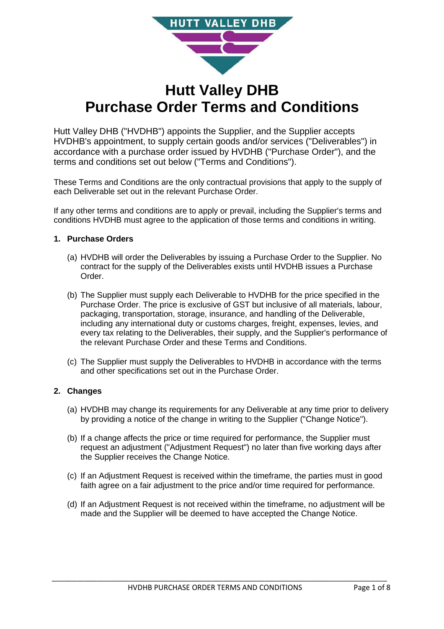

# **Hutt Valley DHB Purchase Order Terms and Conditions**

Hutt Valley DHB ("HVDHB") appoints the Supplier, and the Supplier accepts HVDHB's appointment, to supply certain goods and/or services ("Deliverables") in accordance with a purchase order issued by HVDHB ("Purchase Order"), and the terms and conditions set out below ("Terms and Conditions").

These Terms and Conditions are the only contractual provisions that apply to the supply of each Deliverable set out in the relevant Purchase Order.

If any other terms and conditions are to apply or prevail, including the Supplier's terms and conditions HVDHB must agree to the application of those terms and conditions in writing.

# **1. Purchase Orders**

- (a) HVDHB will order the Deliverables by issuing a Purchase Order to the Supplier. No contract for the supply of the Deliverables exists until HVDHB issues a Purchase Order.
- (b) The Supplier must supply each Deliverable to HVDHB for the price specified in the Purchase Order. The price is exclusive of GST but inclusive of all materials, labour, packaging, transportation, storage, insurance, and handling of the Deliverable, including any international duty or customs charges, freight, expenses, levies, and every tax relating to the Deliverables, their supply, and the Supplier's performance of the relevant Purchase Order and these Terms and Conditions.
- (c) The Supplier must supply the Deliverables to HVDHB in accordance with the terms and other specifications set out in the Purchase Order.

# **2. Changes**

- (a) HVDHB may change its requirements for any Deliverable at any time prior to delivery by providing a notice of the change in writing to the Supplier ("Change Notice").
- (b) If a change affects the price or time required for performance, the Supplier must request an adjustment ("Adjustment Request") no later than five working days after the Supplier receives the Change Notice.
- (c) If an Adjustment Request is received within the timeframe, the parties must in good faith agree on a fair adjustment to the price and/or time required for performance.
- (d) If an Adjustment Request is not received within the timeframe, no adjustment will be made and the Supplier will be deemed to have accepted the Change Notice.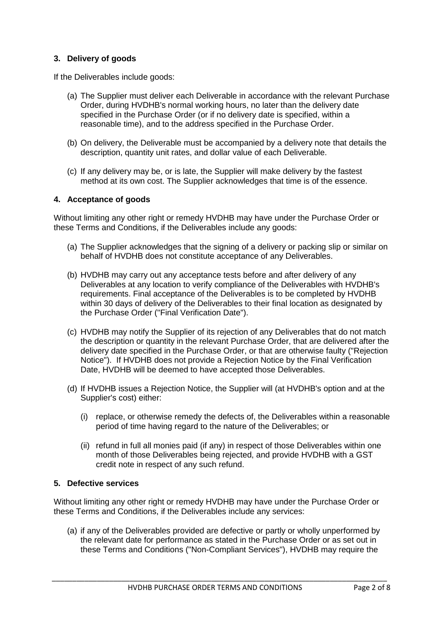# **3. Delivery of goods**

If the Deliverables include goods:

- (a) The Supplier must deliver each Deliverable in accordance with the relevant Purchase Order, during HVDHB's normal working hours, no later than the delivery date specified in the Purchase Order (or if no delivery date is specified, within a reasonable time), and to the address specified in the Purchase Order.
- (b) On delivery, the Deliverable must be accompanied by a delivery note that details the description, quantity unit rates, and dollar value of each Deliverable.
- (c) If any delivery may be, or is late, the Supplier will make delivery by the fastest method at its own cost. The Supplier acknowledges that time is of the essence.

# **4. Acceptance of goods**

Without limiting any other right or remedy HVDHB may have under the Purchase Order or these Terms and Conditions, if the Deliverables include any goods:

- (a) The Supplier acknowledges that the signing of a delivery or packing slip or similar on behalf of HVDHB does not constitute acceptance of any Deliverables.
- (b) HVDHB may carry out any acceptance tests before and after delivery of any Deliverables at any location to verify compliance of the Deliverables with HVDHB's requirements. Final acceptance of the Deliverables is to be completed by HVDHB within 30 days of delivery of the Deliverables to their final location as designated by the Purchase Order ("Final Verification Date").
- (c) HVDHB may notify the Supplier of its rejection of any Deliverables that do not match the description or quantity in the relevant Purchase Order, that are delivered after the delivery date specified in the Purchase Order, or that are otherwise faulty ("Rejection Notice"). If HVDHB does not provide a Rejection Notice by the Final Verification Date, HVDHB will be deemed to have accepted those Deliverables.
- (d) If HVDHB issues a Rejection Notice, the Supplier will (at HVDHB's option and at the Supplier's cost) either:
	- (i) replace, or otherwise remedy the defects of, the Deliverables within a reasonable period of time having regard to the nature of the Deliverables; or
	- (ii) refund in full all monies paid (if any) in respect of those Deliverables within one month of those Deliverables being rejected, and provide HVDHB with a GST credit note in respect of any such refund.

# **5. Defective services**

Without limiting any other right or remedy HVDHB may have under the Purchase Order or these Terms and Conditions, if the Deliverables include any services:

(a) if any of the Deliverables provided are defective or partly or wholly unperformed by the relevant date for performance as stated in the Purchase Order or as set out in these Terms and Conditions ("Non-Compliant Services"), HVDHB may require the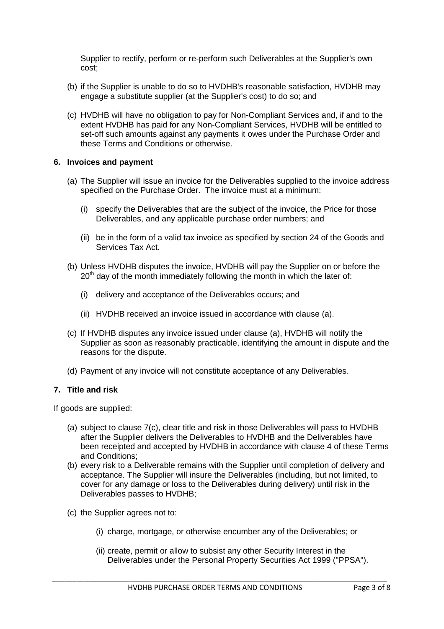Supplier to rectify, perform or re-perform such Deliverables at the Supplier's own cost;

- (b) if the Supplier is unable to do so to HVDHB's reasonable satisfaction, HVDHB may engage a substitute supplier (at the Supplier's cost) to do so; and
- (c) HVDHB will have no obligation to pay for Non-Compliant Services and, if and to the extent HVDHB has paid for any Non-Compliant Services, HVDHB will be entitled to set-off such amounts against any payments it owes under the Purchase Order and these Terms and Conditions or otherwise.

#### **6. Invoices and payment**

- (a) The Supplier will issue an invoice for the Deliverables supplied to the invoice address specified on the Purchase Order. The invoice must at a minimum:
	- (i) specify the Deliverables that are the subject of the invoice, the Price for those Deliverables, and any applicable purchase order numbers; and
	- (ii) be in the form of a valid tax invoice as specified by section 24 of the Goods and Services Tax Act.
- (b) Unless HVDHB disputes the invoice, HVDHB will pay the Supplier on or before the  $20<sup>th</sup>$  day of the month immediately following the month in which the later of:
	- (i) delivery and acceptance of the Deliverables occurs; and
	- (ii) HVDHB received an invoice issued in accordance with clause (a).
- (c) If HVDHB disputes any invoice issued under clause (a), HVDHB will notify the Supplier as soon as reasonably practicable, identifying the amount in dispute and the reasons for the dispute.
- (d) Payment of any invoice will not constitute acceptance of any Deliverables.

# **7. Title and risk**

If goods are supplied:

- (a) subject to clause 7(c), clear title and risk in those Deliverables will pass to HVDHB after the Supplier delivers the Deliverables to HVDHB and the Deliverables have been receipted and accepted by HVDHB in accordance with clause 4 of these Terms and Conditions;
- (b) every risk to a Deliverable remains with the Supplier until completion of delivery and acceptance. The Supplier will insure the Deliverables (including, but not limited, to cover for any damage or loss to the Deliverables during delivery) until risk in the Deliverables passes to HVDHB;
- (c) the Supplier agrees not to:
	- (i) charge, mortgage, or otherwise encumber any of the Deliverables; or
	- (ii) create, permit or allow to subsist any other Security Interest in the Deliverables under the Personal Property Securities Act 1999 ("PPSA").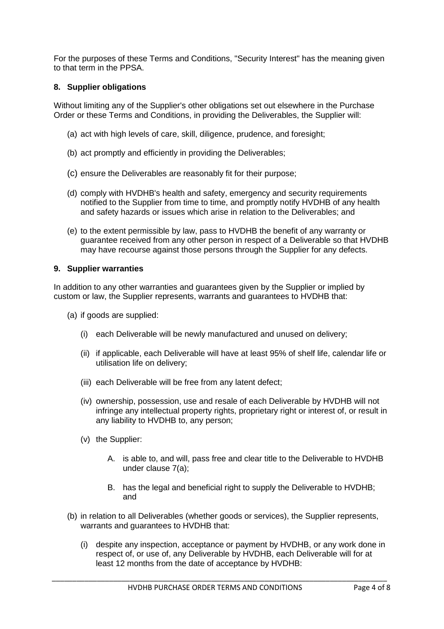For the purposes of these Terms and Conditions, "Security Interest" has the meaning given to that term in the PPSA.

# **8. Supplier obligations**

Without limiting any of the Supplier's other obligations set out elsewhere in the Purchase Order or these Terms and Conditions, in providing the Deliverables, the Supplier will:

- (a) act with high levels of care, skill, diligence, prudence, and foresight;
- (b) act promptly and efficiently in providing the Deliverables;
- (c) ensure the Deliverables are reasonably fit for their purpose;
- (d) comply with HVDHB's health and safety, emergency and security requirements notified to the Supplier from time to time, and promptly notify HVDHB of any health and safety hazards or issues which arise in relation to the Deliverables; and
- (e) to the extent permissible by law, pass to HVDHB the benefit of any warranty or guarantee received from any other person in respect of a Deliverable so that HVDHB may have recourse against those persons through the Supplier for any defects.

### **9. Supplier warranties**

In addition to any other warranties and guarantees given by the Supplier or implied by custom or law, the Supplier represents, warrants and guarantees to HVDHB that:

- (a) if goods are supplied:
	- (i) each Deliverable will be newly manufactured and unused on delivery;
	- (ii) if applicable, each Deliverable will have at least 95% of shelf life, calendar life or utilisation life on delivery;
	- (iii) each Deliverable will be free from any latent defect;
	- (iv) ownership, possession, use and resale of each Deliverable by HVDHB will not infringe any intellectual property rights, proprietary right or interest of, or result in any liability to HVDHB to, any person;
	- (v) the Supplier:
		- A. is able to, and will, pass free and clear title to the Deliverable to HVDHB under clause 7(a);
		- B. has the legal and beneficial right to supply the Deliverable to HVDHB; and
- (b) in relation to all Deliverables (whether goods or services), the Supplier represents, warrants and guarantees to HVDHB that:
	- (i) despite any inspection, acceptance or payment by HVDHB, or any work done in respect of, or use of, any Deliverable by HVDHB, each Deliverable will for at least 12 months from the date of acceptance by HVDHB: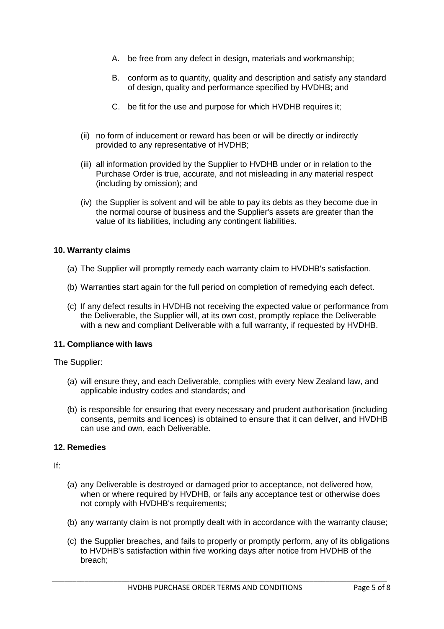- A. be free from any defect in design, materials and workmanship;
- B. conform as to quantity, quality and description and satisfy any standard of design, quality and performance specified by HVDHB; and
- C. be fit for the use and purpose for which HVDHB requires it;
- (ii) no form of inducement or reward has been or will be directly or indirectly provided to any representative of HVDHB;
- (iii) all information provided by the Supplier to HVDHB under or in relation to the Purchase Order is true, accurate, and not misleading in any material respect (including by omission); and
- (iv) the Supplier is solvent and will be able to pay its debts as they become due in the normal course of business and the Supplier's assets are greater than the value of its liabilities, including any contingent liabilities.

#### **10. Warranty claims**

- (a) The Supplier will promptly remedy each warranty claim to HVDHB's satisfaction.
- (b) Warranties start again for the full period on completion of remedying each defect.
- (c) If any defect results in HVDHB not receiving the expected value or performance from the Deliverable, the Supplier will, at its own cost, promptly replace the Deliverable with a new and compliant Deliverable with a full warranty, if requested by HVDHB.

#### **11. Compliance with laws**

The Supplier:

- (a) will ensure they, and each Deliverable, complies with every New Zealand law, and applicable industry codes and standards; and
- (b) is responsible for ensuring that every necessary and prudent authorisation (including consents, permits and licences) is obtained to ensure that it can deliver, and HVDHB can use and own, each Deliverable.

### **12. Remedies**

If:

- (a) any Deliverable is destroyed or damaged prior to acceptance, not delivered how, when or where required by HVDHB, or fails any acceptance test or otherwise does not comply with HVDHB's requirements;
- (b) any warranty claim is not promptly dealt with in accordance with the warranty clause;
- (c) the Supplier breaches, and fails to properly or promptly perform, any of its obligations to HVDHB's satisfaction within five working days after notice from HVDHB of the breach;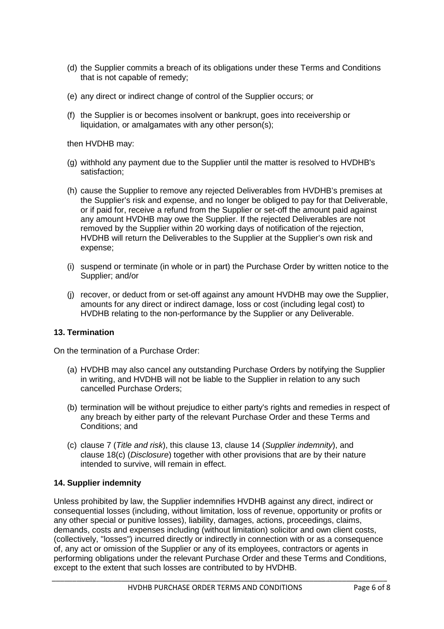- (d) the Supplier commits a breach of its obligations under these Terms and Conditions that is not capable of remedy;
- (e) any direct or indirect change of control of the Supplier occurs; or
- (f) the Supplier is or becomes insolvent or bankrupt, goes into receivership or liquidation, or amalgamates with any other person(s);

then HVDHB may:

- (g) withhold any payment due to the Supplier until the matter is resolved to HVDHB's satisfaction;
- (h) cause the Supplier to remove any rejected Deliverables from HVDHB's premises at the Supplier's risk and expense, and no longer be obliged to pay for that Deliverable, or if paid for, receive a refund from the Supplier or set-off the amount paid against any amount HVDHB may owe the Supplier. If the rejected Deliverables are not removed by the Supplier within 20 working days of notification of the rejection, HVDHB will return the Deliverables to the Supplier at the Supplier's own risk and expense;
- (i) suspend or terminate (in whole or in part) the Purchase Order by written notice to the Supplier; and/or
- (j) recover, or deduct from or set-off against any amount HVDHB may owe the Supplier, amounts for any direct or indirect damage, loss or cost (including legal cost) to HVDHB relating to the non-performance by the Supplier or any Deliverable.

# **13. Termination**

On the termination of a Purchase Order:

- (a) HVDHB may also cancel any outstanding Purchase Orders by notifying the Supplier in writing, and HVDHB will not be liable to the Supplier in relation to any such cancelled Purchase Orders;
- (b) termination will be without prejudice to either party's rights and remedies in respect of any breach by either party of the relevant Purchase Order and these Terms and Conditions; and
- (c) clause 7 (Title and risk), this clause 13, clause 14 (Supplier indemnity), and clause 18(c) (Disclosure) together with other provisions that are by their nature intended to survive, will remain in effect.

# **14. Supplier indemnity**

Unless prohibited by law, the Supplier indemnifies HVDHB against any direct, indirect or consequential losses (including, without limitation, loss of revenue, opportunity or profits or any other special or punitive losses), liability, damages, actions, proceedings, claims, demands, costs and expenses including (without limitation) solicitor and own client costs, (collectively, "losses") incurred directly or indirectly in connection with or as a consequence of, any act or omission of the Supplier or any of its employees, contractors or agents in performing obligations under the relevant Purchase Order and these Terms and Conditions, except to the extent that such losses are contributed to by HVDHB.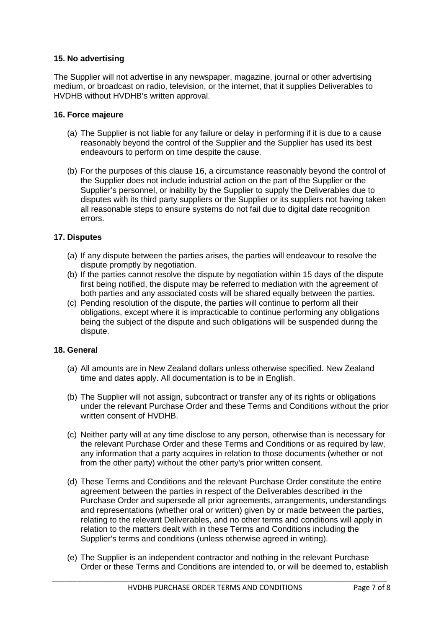# **15. No advertising**

The Supplier will not advertise in any newspaper, magazine, journal or other advertising medium, or broadcast on radio, television, or the internet, that it supplies Deliverables to HVDHB without HVDHB's written approval.

### **16. Force majeure**

- (a) The Supplier is not liable for any failure or delay in performing if it is due to a cause reasonably beyond the control of the Supplier and the Supplier has used its best endeavours to perform on time despite the cause.
- (b) For the purposes of this clause 16, a circumstance reasonably beyond the control of the Supplier does not include industrial action on the part of the Supplier or the Supplier's personnel, or inability by the Supplier to supply the Deliverables due to disputes with its third party suppliers or the Supplier or its suppliers not having taken all reasonable steps to ensure systems do not fail due to digital date recognition errors.

# **17. Disputes**

- (a) If any dispute between the parties arises, the parties will endeavour to resolve the dispute promptly by negotiation.
- (b) If the parties cannot resolve the dispute by negotiation within 15 days of the dispute first being notified, the dispute may be referred to mediation with the agreement of both parties and any associated costs will be shared equally between the parties.
- (c) Pending resolution of the dispute, the parties will continue to perform all their obligations, except where it is impracticable to continue performing any obligations being the subject of the dispute and such obligations will be suspended during the dispute.

# **18. General**

- (a) All amounts are in New Zealand dollars unless otherwise specified. New Zealand time and dates apply. All documentation is to be in English.
- (b) The Supplier will not assign, subcontract or transfer any of its rights or obligations under the relevant Purchase Order and these Terms and Conditions without the prior written consent of HVDHB
- (c) Neither party will at any time disclose to any person, otherwise than is necessary for the relevant Purchase Order and these Terms and Conditions or as required by law, any information that a party acquires in relation to those documents (whether or not from the other party) without the other party's prior written consent.
- (d) These Terms and Conditions and the relevant Purchase Order constitute the entire agreement between the parties in respect of the Deliverables described in the Purchase Order and supersede all prior agreements, arrangements, understandings and representations (whether oral or written) given by or made between the parties, relating to the relevant Deliverables, and no other terms and conditions will apply in relation to the matters dealt with in these Terms and Conditions including the Supplier's terms and conditions (unless otherwise agreed in writing).
- (e) The Supplier is an independent contractor and nothing in the relevant Purchase Order or these Terms and Conditions are intended to, or will be deemed to, establish